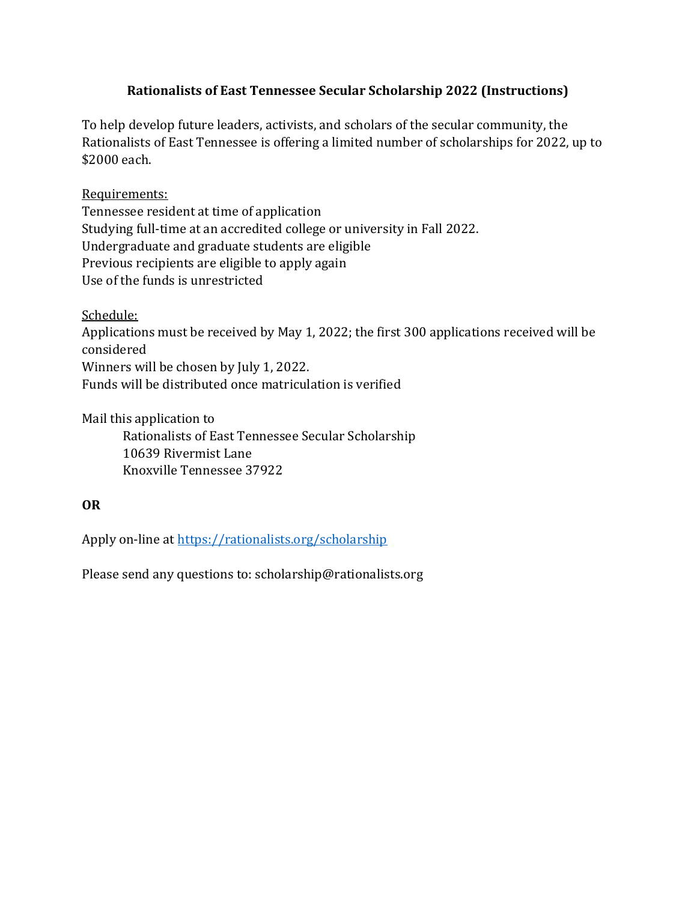### Rationalists of East Tennessee Secular Scholarship 2022 (Instructions)

To help develop future leaders, activists, and scholars of the secular community, the Rationalists of East Tennessee is offering a limited number of scholarships for 2022, up to \$2000 each.

#### Requirements:

Tennessee resident at time of application Studying full-time at an accredited college or university in Fall 2022. Undergraduate and graduate students are eligible Previous recipients are eligible to apply again Use of the funds is unrestricted

Schedule:

Applications must be received by May 1, 2022; the first 300 applications received will be considered Winners will be chosen by July 1, 2022.

Funds will be distributed once matriculation is verified

Mail this application to

 Rationalists of East Tennessee Secular Scholarship 10639 Rivermist Lane Knoxville Tennessee 37922

#### OR

Apply on-line at<https://rationalists.org/scholarship>

Please send any questions to: [scholarship@rationalists.org](mailto:scholarship@rationalists.org)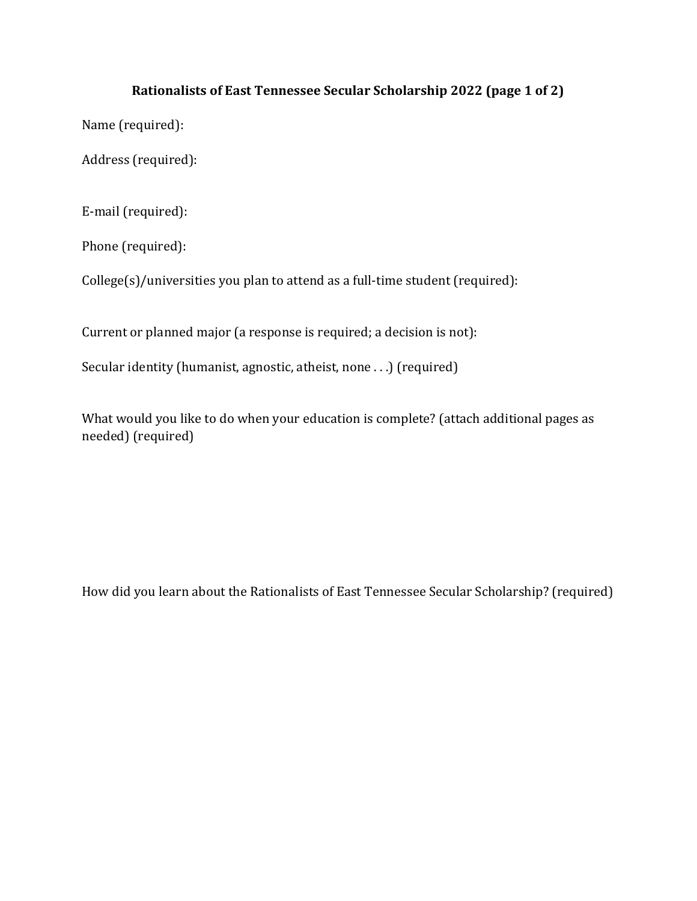## Rationalists of East Tennessee Secular Scholarship 2022 (page 1 of 2)

Name (required):

Address (required):

E-mail (required):

Phone (required):

College(s)/universities you plan to attend as a full-time student (required):

Current or planned major (a response is required; a decision is not):

Secular identity (humanist, agnostic, atheist, none . . .) (required)

What would you like to do when your education is complete? (attach additional pages as needed) (required)

How did you learn about the Rationalists of East Tennessee Secular Scholarship? (required)